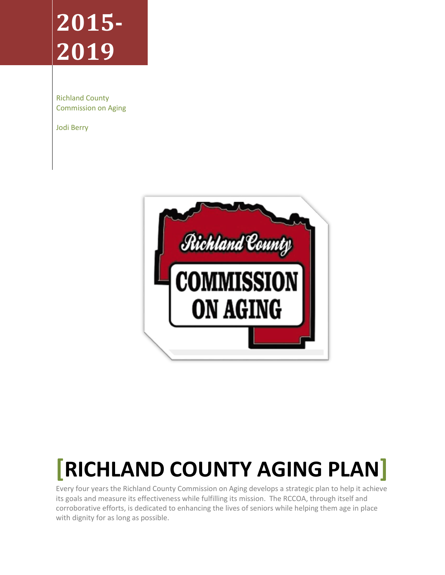# **2015- 2019**

Richland County Commission on Aging

Jodi Berry



# **[RICHLAND COUNTY AGING PLAN]**

Every four years the Richland County Commission on Aging develops a strategic plan to help it achieve its goals and measure its effectiveness while fulfilling its mission. The RCCOA, through itself and corroborative efforts, is dedicated to enhancing the lives of seniors while helping them age in place with dignity for as long as possible.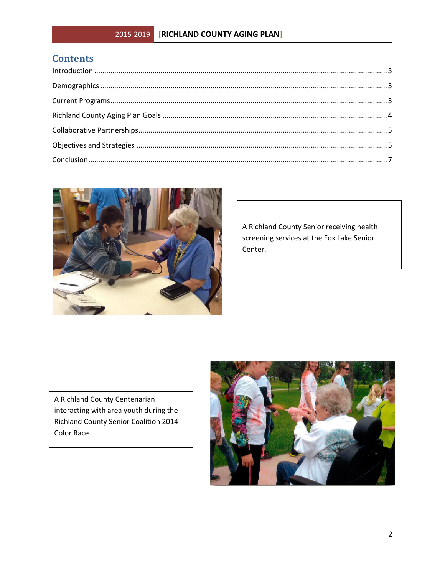# **Contents**



A Richland County Senior receiving health screening services at the Fox Lake Senior Center.

A Richland County Centenarian interacting with area youth during the Richland County Senior Coalition 2014 Color Race.

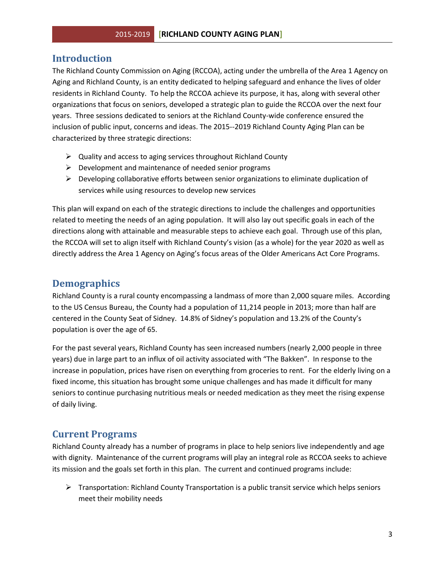#### <span id="page-2-0"></span>**Introduction**

The Richland County Commission on Aging (RCCOA), acting under the umbrella of the Area 1 Agency on Aging and Richland County, is an entity dedicated to helping safeguard and enhance the lives of older residents in Richland County. To help the RCCOA achieve its purpose, it has, along with several other organizations that focus on seniors, developed a strategic plan to guide the RCCOA over the next four years. Three sessions dedicated to seniors at the Richland County-wide conference ensured the inclusion of public input, concerns and ideas. The 2015--2019 Richland County Aging Plan can be characterized by three strategic directions:

- $\triangleright$  Quality and access to aging services throughout Richland County
- $\triangleright$  Development and maintenance of needed senior programs
- $\triangleright$  Developing collaborative efforts between senior organizations to eliminate duplication of services while using resources to develop new services

This plan will expand on each of the strategic directions to include the challenges and opportunities related to meeting the needs of an aging population. It will also lay out specific goals in each of the directions along with attainable and measurable steps to achieve each goal. Through use of this plan, the RCCOA will set to align itself with Richland County's vision (as a whole) for the year 2020 as well as directly address the Area 1 Agency on Aging's focus areas of the Older Americans Act Core Programs.

#### <span id="page-2-1"></span>**Demographics**

Richland County is a rural county encompassing a landmass of more than 2,000 square miles. According to the US Census Bureau, the County had a population of 11,214 people in 2013; more than half are centered in the County Seat of Sidney. 14.8% of Sidney's population and 13.2% of the County's population is over the age of 65.

For the past several years, Richland County has seen increased numbers (nearly 2,000 people in three years) due in large part to an influx of oil activity associated with "The Bakken". In response to the increase in population, prices have risen on everything from groceries to rent. For the elderly living on a fixed income, this situation has brought some unique challenges and has made it difficult for many seniors to continue purchasing nutritious meals or needed medication as they meet the rising expense of daily living.

#### <span id="page-2-2"></span>**Current Programs**

Richland County already has a number of programs in place to help seniors live independently and age with dignity. Maintenance of the current programs will play an integral role as RCCOA seeks to achieve its mission and the goals set forth in this plan. The current and continued programs include:

 $\triangleright$  Transportation: Richland County Transportation is a public transit service which helps seniors meet their mobility needs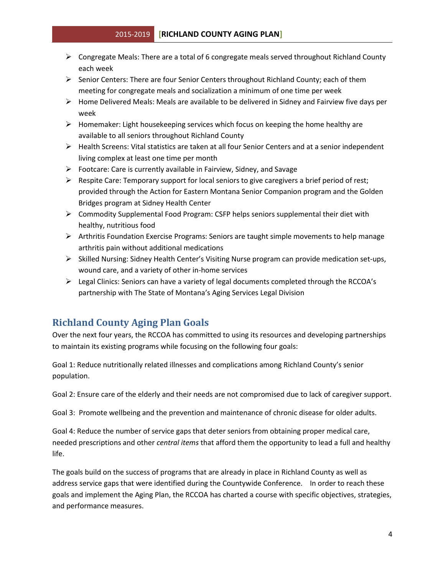#### 2015-2019 **[RICHLAND COUNTY AGING PLAN]**

- $\triangleright$  Congregate Meals: There are a total of 6 congregate meals served throughout Richland County each week
- $\triangleright$  Senior Centers: There are four Senior Centers throughout Richland County; each of them meeting for congregate meals and socialization a minimum of one time per week
- $\triangleright$  Home Delivered Meals: Meals are available to be delivered in Sidney and Fairview five days per week
- $\triangleright$  Homemaker: Light housekeeping services which focus on keeping the home healthy are available to all seniors throughout Richland County
- $\triangleright$  Health Screens: Vital statistics are taken at all four Senior Centers and at a senior independent living complex at least one time per month
- $\triangleright$  Footcare: Care is currently available in Fairview, Sidney, and Savage
- $\triangleright$  Respite Care: Temporary support for local seniors to give caregivers a brief period of rest; provided through the Action for Eastern Montana Senior Companion program and the Golden Bridges program at Sidney Health Center
- Commodity Supplemental Food Program: CSFP helps seniors supplemental their diet with healthy, nutritious food
- $\triangleright$  Arthritis Foundation Exercise Programs: Seniors are taught simple movements to help manage arthritis pain without additional medications
- $\triangleright$  Skilled Nursing: Sidney Health Center's Visiting Nurse program can provide medication set-ups, wound care, and a variety of other in-home services
- $\triangleright$  Legal Clinics: Seniors can have a variety of legal documents completed through the RCCOA's partnership with The State of Montana's Aging Services Legal Division

## <span id="page-3-0"></span>**Richland County Aging Plan Goals**

Over the next four years, the RCCOA has committed to using its resources and developing partnerships to maintain its existing programs while focusing on the following four goals:

Goal 1: Reduce nutritionally related illnesses and complications among Richland County's senior population.

Goal 2: Ensure care of the elderly and their needs are not compromised due to lack of caregiver support.

Goal 3: Promote wellbeing and the prevention and maintenance of chronic disease for older adults.

Goal 4: Reduce the number of service gaps that deter seniors from obtaining proper medical care, needed prescriptions and other *central items* that afford them the opportunity to lead a full and healthy life.

The goals build on the success of programs that are already in place in Richland County as well as address service gaps that were identified during the Countywide Conference. In order to reach these goals and implement the Aging Plan, the RCCOA has charted a course with specific objectives, strategies, and performance measures.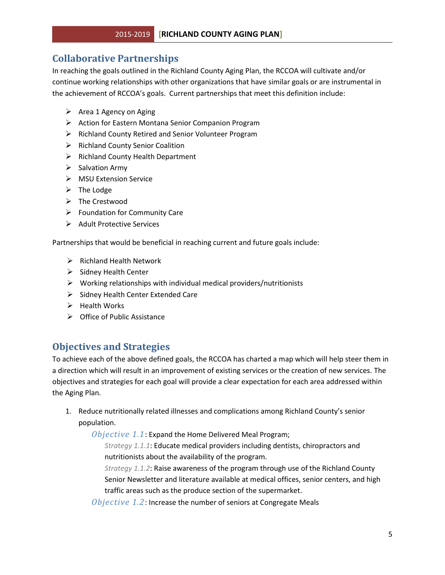### <span id="page-4-0"></span>**Collaborative Partnerships**

In reaching the goals outlined in the Richland County Aging Plan, the RCCOA will cultivate and/or continue working relationships with other organizations that have similar goals or are instrumental in the achievement of RCCOA's goals. Current partnerships that meet this definition include:

- $\triangleright$  Area 1 Agency on Aging
- Action for Eastern Montana Senior Companion Program
- ▶ Richland County Retired and Senior Volunteer Program
- $\triangleright$  Richland County Senior Coalition
- $\triangleright$  Richland County Health Department
- $\triangleright$  Salvation Army
- MSU Extension Service
- $\triangleright$  The Lodge
- $\triangleright$  The Crestwood
- $\triangleright$  Foundation for Community Care
- $\triangleright$  Adult Protective Services

Partnerships that would be beneficial in reaching current and future goals include:

- $\triangleright$  Richland Health Network
- $\triangleright$  Sidney Health Center
- $\triangleright$  Working relationships with individual medical providers/nutritionists
- $\triangleright$  Sidney Health Center Extended Care
- $\triangleright$  Health Works
- $\triangleright$  Office of Public Assistance

### <span id="page-4-1"></span>**Objectives and Strategies**

To achieve each of the above defined goals, the RCCOA has charted a map which will help steer them in a direction which will result in an improvement of existing services or the creation of new services. The objectives and strategies for each goal will provide a clear expectation for each area addressed within the Aging Plan.

1. Reduce nutritionally related illnesses and complications among Richland County's senior population.

*Objective 1.1*: Expand the Home Delivered Meal Program;

*Strategy 1.1.1*: Educate medical providers including dentists, chiropractors and nutritionists about the availability of the program.

*Strategy 1.1.2*: Raise awareness of the program through use of the Richland County Senior Newsletter and literature available at medical offices, senior centers, and high traffic areas such as the produce section of the supermarket.

*Objective 1.2*: Increase the number of seniors at Congregate Meals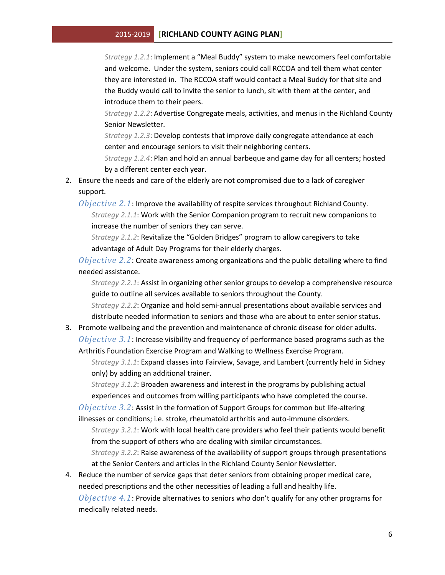#### 2015-2019 **[RICHLAND COUNTY AGING PLAN]**

*Strategy 1.2.1*: Implement a "Meal Buddy" system to make newcomers feel comfortable and welcome. Under the system, seniors could call RCCOA and tell them what center they are interested in. The RCCOA staff would contact a Meal Buddy for that site and the Buddy would call to invite the senior to lunch, sit with them at the center, and introduce them to their peers.

*Strategy 1.2.2*: Advertise Congregate meals, activities, and menus in the Richland County Senior Newsletter.

*Strategy 1.2.3*: Develop contests that improve daily congregate attendance at each center and encourage seniors to visit their neighboring centers.

*Strategy 1.2.4*: Plan and hold an annual barbeque and game day for all centers; hosted by a different center each year.

- 2. Ensure the needs and care of the elderly are not compromised due to a lack of caregiver support.
	- *Objective 2.1*: Improve the availability of respite services throughout Richland County. *Strategy 2.1.1*: Work with the Senior Companion program to recruit new companions to increase the number of seniors they can serve.

*Strategy 2.1.2*: Revitalize the "Golden Bridges" program to allow caregivers to take advantage of Adult Day Programs for their elderly charges.

*Objective 2.2*: Create awareness among organizations and the public detailing where to find needed assistance.

*Strategy 2.2.1*: Assist in organizing other senior groups to develop a comprehensive resource guide to outline all services available to seniors throughout the County.

*Strategy 2.2.2*: Organize and hold semi-annual presentations about available services and distribute needed information to seniors and those who are about to enter senior status.

3. Promote wellbeing and the prevention and maintenance of chronic disease for older adults. *Objective 3.1*: Increase visibility and frequency of performance based programs such as the Arthritis Foundation Exercise Program and Walking to Wellness Exercise Program.

*Strategy 3.1.1*: Expand classes into Fairview, Savage, and Lambert (currently held in Sidney only) by adding an additional trainer.

*Strategy 3.1.2*: Broaden awareness and interest in the programs by publishing actual experiences and outcomes from willing participants who have completed the course.

*Objective 3.2*: Assist in the formation of Support Groups for common but life-altering illnesses or conditions; i.e. stroke, rheumatoid arthritis and auto-immune disorders.

*Strategy 3.2.1*: Work with local health care providers who feel their patients would benefit from the support of others who are dealing with similar circumstances.

*Strategy 3.2.2*: Raise awareness of the availability of support groups through presentations at the Senior Centers and articles in the Richland County Senior Newsletter.

4. Reduce the number of service gaps that deter seniors from obtaining proper medical care, needed prescriptions and the other necessities of leading a full and healthy life.

*Objective 4.1*: Provide alternatives to seniors who don't qualify for any other programs for medically related needs.